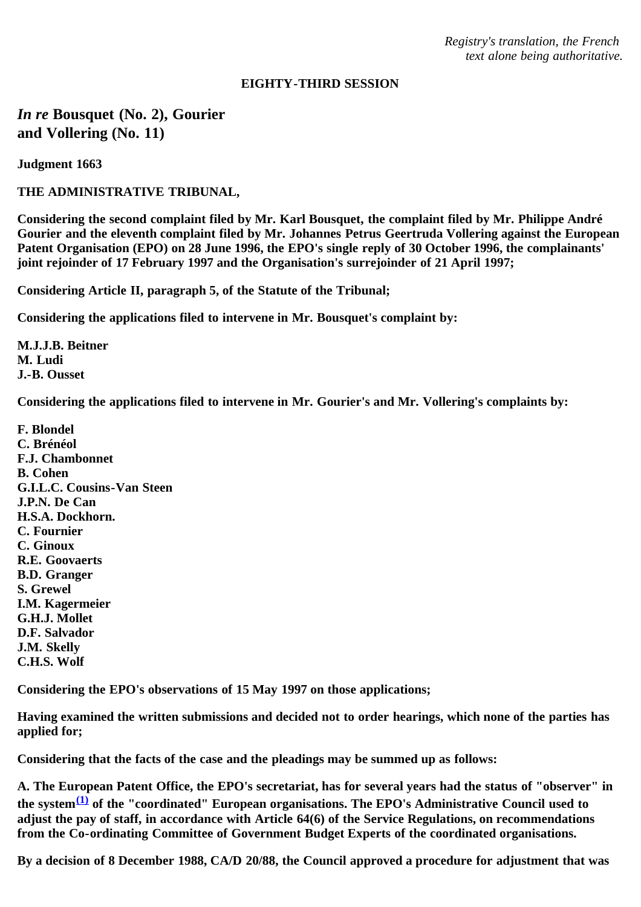*Registry's translation, the French text alone being authoritative.*

## **EIGHTY-THIRD SESSION**

*In re* **Bousquet (No. 2), Gourier and Vollering (No. 11)**

**Judgment 1663**

**THE ADMINISTRATIVE TRIBUNAL,**

**Considering the second complaint filed by Mr. Karl Bousquet, the complaint filed by Mr. Philippe André Gourier and the eleventh complaint filed by Mr. Johannes Petrus Geertruda Vollering against the European Patent Organisation (EPO) on 28 June 1996, the EPO's single reply of 30 October 1996, the complainants' joint rejoinder of 17 February 1997 and the Organisation's surrejoinder of 21 April 1997;**

**Considering Article II, paragraph 5, of the Statute of the Tribunal;**

**Considering the applications filed to intervene in Mr. Bousquet's complaint by:**

**M.J.J.B. Beitner M. Ludi J.-B. Ousset**

**Considering the applications filed to intervene in Mr. Gourier's and Mr. Vollering's complaints by:**

**F. Blondel C. Brénéol F.J. Chambonnet B. Cohen G.I.L.C. Cousins-Van Steen J.P.N. De Can H.S.A. Dockhorn. C. Fournier C. Ginoux R.E. Goovaerts B.D. Granger S. Grewel I.M. Kagermeier G.H.J. Mollet D.F. Salvador J.M. Skelly C.H.S. Wolf**

**Considering the EPO's observations of 15 May 1997 on those applications;**

**Having examined the written submissions and decided not to order hearings, which none of the parties has applied for;**

**Considering that the facts of the case and the pleadings may be summed up as follows:**

**A. The European Patent Office, the EPO's secretariat, has for several years had the status of "observer" in the system[\(1\)](#page-10-0) of the "coordinated" European organisations. The EPO's Administrative Council used to adjust the pay of staff, in accordance with Article 64(6) of the Service Regulations, on recommendations from the Co-ordinating Committee of Government Budget Experts of the coordinated organisations.**

**By a decision of 8 December 1988, CA/D 20/88, the Council approved a procedure for adjustment that was**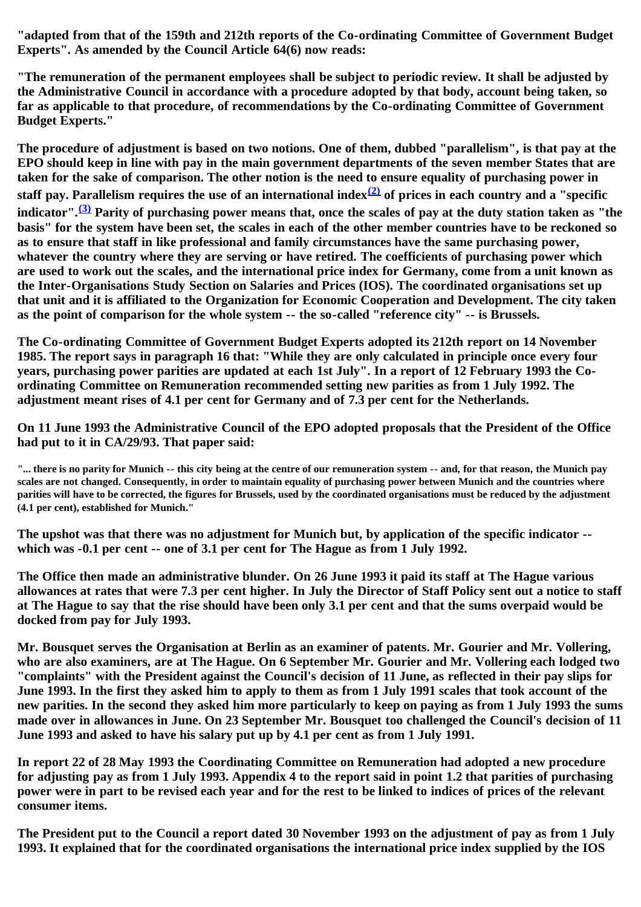**"adapted from that of the 159th and 212th reports of the Co-ordinating Committee of Government Budget Experts". As amended by the Council Article 64(6) now reads:**

**"The remuneration of the permanent employees shall be subject to periodic review. It shall be adjusted by the Administrative Council in accordance with a procedure adopted by that body, account being taken, so far as applicable to that procedure, of recommendations by the Co-ordinating Committee of Government Budget Experts."**

**The procedure of adjustment is based on two notions. One of them, dubbed "parallelism", is that pay at the EPO should keep in line with pay in the main government departments of the seven member States that are taken for the sake of comparison. The other notion is the need to ensure equality of purchasing power in staff pay. Parallelism requires the use of an international index[\(2\)](#page-10-1) of prices in each country and a "specific indicator".[\(3\)](#page-10-2) Parity of purchasing power means that, once the scales of pay at the duty station taken as "the basis" for the system have been set, the scales in each of the other member countries have to be reckoned so as to ensure that staff in like professional and family circumstances have the same purchasing power, whatever the country where they are serving or have retired. The coefficients of purchasing power which are used to work out the scales, and the international price index for Germany, come from a unit known as the Inter-Organisations Study Section on Salaries and Prices (IOS). The coordinated organisations set up that unit and it is affiliated to the Organization for Economic Cooperation and Development. The city taken as the point of comparison for the whole system -- the so-called "reference city" -- is Brussels.**

**The Co-ordinating Committee of Government Budget Experts adopted its 212th report on 14 November 1985. The report says in paragraph 16 that: "While they are only calculated in principle once every four years, purchasing power parities are updated at each 1st July". In a report of 12 February 1993 the Coordinating Committee on Remuneration recommended setting new parities as from 1 July 1992. The adjustment meant rises of 4.1 per cent for Germany and of 7.3 per cent for the Netherlands.**

**On 11 June 1993 the Administrative Council of the EPO adopted proposals that the President of the Office had put to it in CA/29/93. That paper said:**

**"... there is no parity for Munich -- this city being at the centre of our remuneration system -- and, for that reason, the Munich pay scales are not changed. Consequently, in order to maintain equality of purchasing power between Munich and the countries where parities will have to be corrected, the figures for Brussels, used by the coordinated organisations must be reduced by the adjustment (4.1 per cent), established for Munich."**

**The upshot was that there was no adjustment for Munich but, by application of the specific indicator - which was -0.1 per cent -- one of 3.1 per cent for The Hague as from 1 July 1992.**

**The Office then made an administrative blunder. On 26 June 1993 it paid its staff at The Hague various allowances at rates that were 7.3 per cent higher. In July the Director of Staff Policy sent out a notice to staff at The Hague to say that the rise should have been only 3.1 per cent and that the sums overpaid would be docked from pay for July 1993.**

**Mr. Bousquet serves the Organisation at Berlin as an examiner of patents. Mr. Gourier and Mr. Vollering, who are also examiners, are at The Hague. On 6 September Mr. Gourier and Mr. Vollering each lodged two "complaints" with the President against the Council's decision of 11 June, as reflected in their pay slips for June 1993. In the first they asked him to apply to them as from 1 July 1991 scales that took account of the new parities. In the second they asked him more particularly to keep on paying as from 1 July 1993 the sums made over in allowances in June. On 23 September Mr. Bousquet too challenged the Council's decision of 11 June 1993 and asked to have his salary put up by 4.1 per cent as from 1 July 1991.**

**In report 22 of 28 May 1993 the Coordinating Committee on Remuneration had adopted a new procedure for adjusting pay as from 1 July 1993. Appendix 4 to the report said in point 1.2 that parities of purchasing power were in part to be revised each year and for the rest to be linked to indices of prices of the relevant consumer items.**

**The President put to the Council a report dated 30 November 1993 on the adjustment of pay as from 1 July 1993. It explained that for the coordinated organisations the international price index supplied by the IOS**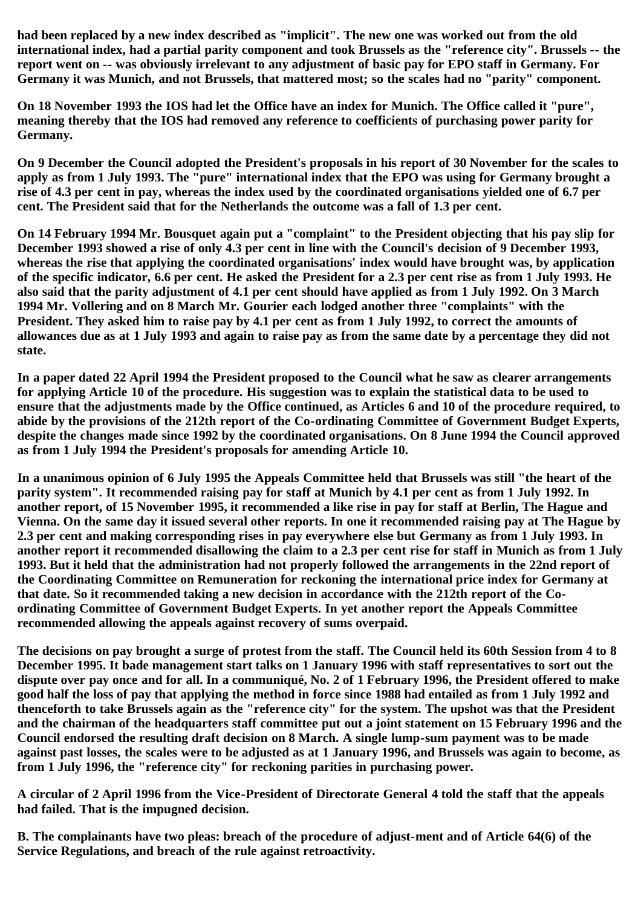**had been replaced by a new index described as "implicit". The new one was worked out from the old international index, had a partial parity component and took Brussels as the "reference city". Brussels -- the report went on -- was obviously irrelevant to any adjustment of basic pay for EPO staff in Germany. For Germany it was Munich, and not Brussels, that mattered most; so the scales had no "parity" component.**

**On 18 November 1993 the IOS had let the Office have an index for Munich. The Office called it "pure", meaning thereby that the IOS had removed any reference to coefficients of purchasing power parity for Germany.**

**On 9 December the Council adopted the President's proposals in his report of 30 November for the scales to apply as from 1 July 1993. The "pure" international index that the EPO was using for Germany brought a rise of 4.3 per cent in pay, whereas the index used by the coordinated organisations yielded one of 6.7 per cent. The President said that for the Netherlands the outcome was a fall of 1.3 per cent.**

**On 14 February 1994 Mr. Bousquet again put a "complaint" to the President objecting that his pay slip for December 1993 showed a rise of only 4.3 per cent in line with the Council's decision of 9 December 1993, whereas the rise that applying the coordinated organisations' index would have brought was, by application of the specific indicator, 6.6 per cent. He asked the President for a 2.3 per cent rise as from 1 July 1993. He also said that the parity adjustment of 4.1 per cent should have applied as from 1 July 1992. On 3 March 1994 Mr. Vollering and on 8 March Mr. Gourier each lodged another three "complaints" with the President. They asked him to raise pay by 4.1 per cent as from 1 July 1992, to correct the amounts of allowances due as at 1 July 1993 and again to raise pay as from the same date by a percentage they did not state.**

**In a paper dated 22 April 1994 the President proposed to the Council what he saw as clearer arrangements for applying Article 10 of the procedure. His suggestion was to explain the statistical data to be used to ensure that the adjustments made by the Office continued, as Articles 6 and 10 of the procedure required, to abide by the provisions of the 212th report of the Co-ordinating Committee of Government Budget Experts, despite the changes made since 1992 by the coordinated organisations. On 8 June 1994 the Council approved as from 1 July 1994 the President's proposals for amending Article 10.**

**In a unanimous opinion of 6 July 1995 the Appeals Committee held that Brussels was still "the heart of the parity system". It recommended raising pay for staff at Munich by 4.1 per cent as from 1 July 1992. In another report, of 15 November 1995, it recommended a like rise in pay for staff at Berlin, The Hague and Vienna. On the same day it issued several other reports. In one it recommended raising pay at The Hague by 2.3 per cent and making corresponding rises in pay everywhere else but Germany as from 1 July 1993. In another report it recommended disallowing the claim to a 2.3 per cent rise for staff in Munich as from 1 July 1993. But it held that the administration had not properly followed the arrangements in the 22nd report of the Coordinating Committee on Remuneration for reckoning the international price index for Germany at that date. So it recommended taking a new decision in accordance with the 212th report of the Coordinating Committee of Government Budget Experts. In yet another report the Appeals Committee recommended allowing the appeals against recovery of sums overpaid.**

**The decisions on pay brought a surge of protest from the staff. The Council held its 60th Session from 4 to 8 December 1995. It bade management start talks on 1 January 1996 with staff representatives to sort out the dispute over pay once and for all. In a communiqué, No. 2 of 1 February 1996, the President offered to make good half the loss of pay that applying the method in force since 1988 had entailed as from 1 July 1992 and thenceforth to take Brussels again as the "reference city" for the system. The upshot was that the President and the chairman of the headquarters staff committee put out a joint statement on 15 February 1996 and the Council endorsed the resulting draft decision on 8 March. A single lump-sum payment was to be made against past losses, the scales were to be adjusted as at 1 January 1996, and Brussels was again to become, as from 1 July 1996, the "reference city" for reckoning parities in purchasing power.**

**A circular of 2 April 1996 from the Vice-President of Directorate General 4 told the staff that the appeals had failed. That is the impugned decision.**

**B. The complainants have two pleas: breach of the procedure of adjust-ment and of Article 64(6) of the Service Regulations, and breach of the rule against retroactivity.**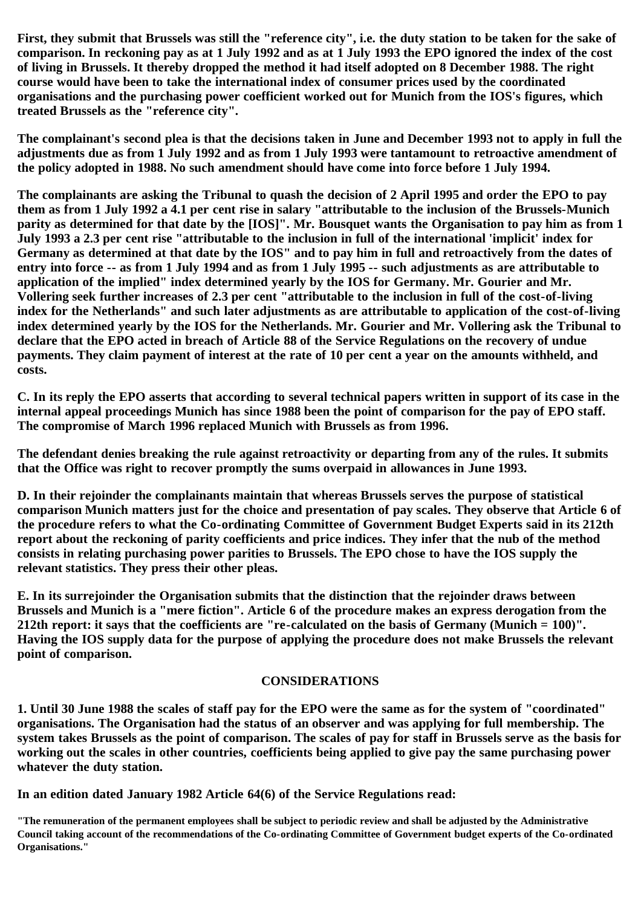**First, they submit that Brussels was still the "reference city", i.e. the duty station to be taken for the sake of comparison. In reckoning pay as at 1 July 1992 and as at 1 July 1993 the EPO ignored the index of the cost of living in Brussels. It thereby dropped the method it had itself adopted on 8 December 1988. The right course would have been to take the international index of consumer prices used by the coordinated organisations and the purchasing power coefficient worked out for Munich from the IOS's figures, which treated Brussels as the "reference city".**

**The complainant's second plea is that the decisions taken in June and December 1993 not to apply in full the adjustments due as from 1 July 1992 and as from 1 July 1993 were tantamount to retroactive amendment of the policy adopted in 1988. No such amendment should have come into force before 1 July 1994.**

**The complainants are asking the Tribunal to quash the decision of 2 April 1995 and order the EPO to pay them as from 1 July 1992 a 4.1 per cent rise in salary "attributable to the inclusion of the Brussels-Munich parity as determined for that date by the [IOS]". Mr. Bousquet wants the Organisation to pay him as from 1 July 1993 a 2.3 per cent rise "attributable to the inclusion in full of the international 'implicit' index for Germany as determined at that date by the IOS" and to pay him in full and retroactively from the dates of entry into force -- as from 1 July 1994 and as from 1 July 1995 -- such adjustments as are attributable to application of the implied" index determined yearly by the IOS for Germany. Mr. Gourier and Mr. Vollering seek further increases of 2.3 per cent "attributable to the inclusion in full of the cost-of-living index for the Netherlands" and such later adjustments as are attributable to application of the cost-of-living index determined yearly by the IOS for the Netherlands. Mr. Gourier and Mr. Vollering ask the Tribunal to declare that the EPO acted in breach of Article 88 of the Service Regulations on the recovery of undue payments. They claim payment of interest at the rate of 10 per cent a year on the amounts withheld, and costs.**

**C. In its reply the EPO asserts that according to several technical papers written in support of its case in the internal appeal proceedings Munich has since 1988 been the point of comparison for the pay of EPO staff. The compromise of March 1996 replaced Munich with Brussels as from 1996.**

**The defendant denies breaking the rule against retroactivity or departing from any of the rules. It submits that the Office was right to recover promptly the sums overpaid in allowances in June 1993.**

**D. In their rejoinder the complainants maintain that whereas Brussels serves the purpose of statistical comparison Munich matters just for the choice and presentation of pay scales. They observe that Article 6 of the procedure refers to what the Co-ordinating Committee of Government Budget Experts said in its 212th report about the reckoning of parity coefficients and price indices. They infer that the nub of the method consists in relating purchasing power parities to Brussels. The EPO chose to have the IOS supply the relevant statistics. They press their other pleas.**

**E. In its surrejoinder the Organisation submits that the distinction that the rejoinder draws between Brussels and Munich is a "mere fiction". Article 6 of the procedure makes an express derogation from the 212th report: it says that the coefficients are "re-calculated on the basis of Germany (Munich = 100)". Having the IOS supply data for the purpose of applying the procedure does not make Brussels the relevant point of comparison.**

# **CONSIDERATIONS**

**1. Until 30 June 1988 the scales of staff pay for the EPO were the same as for the system of "coordinated" organisations. The Organisation had the status of an observer and was applying for full membership. The system takes Brussels as the point of comparison. The scales of pay for staff in Brussels serve as the basis for working out the scales in other countries, coefficients being applied to give pay the same purchasing power whatever the duty station.**

**In an edition dated January 1982 Article 64(6) of the Service Regulations read:**

**"The remuneration of the permanent employees shall be subject to periodic review and shall be adjusted by the Administrative Council taking account of the recommendations of the Co-ordinating Committee of Government budget experts of the Co-ordinated Organisations."**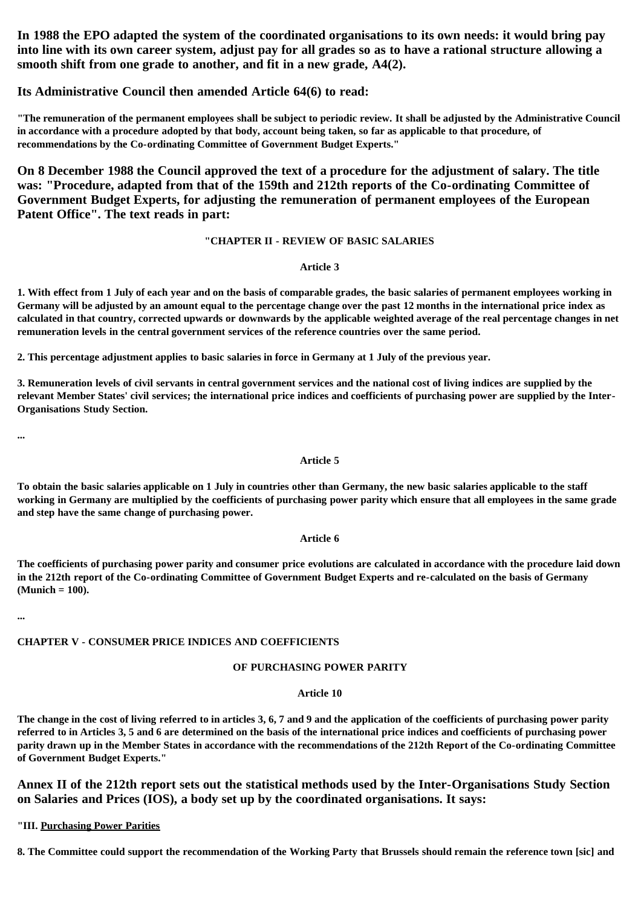**In 1988 the EPO adapted the system of the coordinated organisations to its own needs: it would bring pay into line with its own career system, adjust pay for all grades so as to have a rational structure allowing a smooth shift from one grade to another, and fit in a new grade, A4(2).**

### **Its Administrative Council then amended Article 64(6) to read:**

**"The remuneration of the permanent employees shall be subject to periodic review. It shall be adjusted by the Administrative Council in accordance with a procedure adopted by that body, account being taken, so far as applicable to that procedure, of recommendations by the Co-ordinating Committee of Government Budget Experts."**

**On 8 December 1988 the Council approved the text of a procedure for the adjustment of salary. The title was: "Procedure, adapted from that of the 159th and 212th reports of the Co-ordinating Committee of Government Budget Experts, for adjusting the remuneration of permanent employees of the European Patent Office". The text reads in part:**

#### **"CHAPTER II - REVIEW OF BASIC SALARIES**

#### **Article 3**

**1. With effect from 1 July of each year and on the basis of comparable grades, the basic salaries of permanent employees working in Germany will be adjusted by an amount equal to the percentage change over the past 12 months in the international price index as calculated in that country, corrected upwards or downwards by the applicable weighted average of the real percentage changes in net remuneration levels in the central government services of the reference countries over the same period.**

**2. This percentage adjustment applies to basic salaries in force in Germany at 1 July of the previous year.**

**3. Remuneration levels of civil servants in central government services and the national cost of living indices are supplied by the relevant Member States' civil services; the international price indices and coefficients of purchasing power are supplied by the Inter-Organisations Study Section.**

**...**

#### **Article 5**

**To obtain the basic salaries applicable on 1 July in countries other than Germany, the new basic salaries applicable to the staff working in Germany are multiplied by the coefficients of purchasing power parity which ensure that all employees in the same grade and step have the same change of purchasing power.**

### **Article 6**

**The coefficients of purchasing power parity and consumer price evolutions are calculated in accordance with the procedure laid down in the 212th report of the Co-ordinating Committee of Government Budget Experts and re-calculated on the basis of Germany (Munich = 100).**

**...**

# **CHAPTER V - CONSUMER PRICE INDICES AND COEFFICIENTS**

## **OF PURCHASING POWER PARITY**

## **Article 10**

**The change in the cost of living referred to in articles 3, 6, 7 and 9 and the application of the coefficients of purchasing power parity referred to in Articles 3, 5 and 6 are determined on the basis of the international price indices and coefficients of purchasing power parity drawn up in the Member States in accordance with the recommendations of the 212th Report of the Co-ordinating Committee of Government Budget Experts."**

**Annex II of the 212th report sets out the statistical methods used by the Inter-Organisations Study Section on Salaries and Prices (IOS), a body set up by the coordinated organisations. It says:**

**"III. Purchasing Power Parities**

**8. The Committee could support the recommendation of the Working Party that Brussels should remain the reference town [sic] and**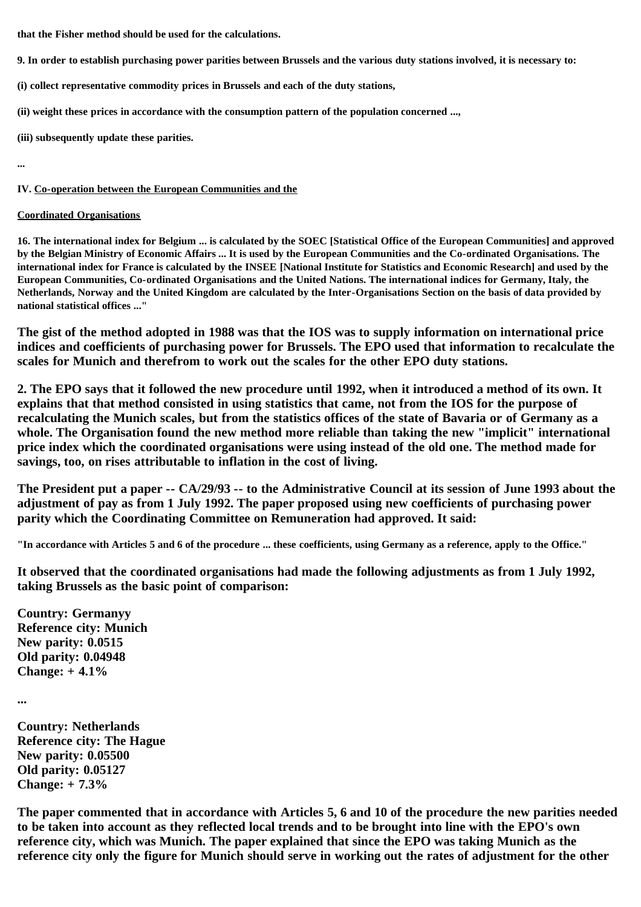**that the Fisher method should be used for the calculations.**

- **9. In order to establish purchasing power parities between Brussels and the various duty stations involved, it is necessary to:**
- **(i) collect representative commodity prices in Brussels and each of the duty stations,**
- **(ii) weight these prices in accordance with the consumption pattern of the population concerned ...,**
- **(iii) subsequently update these parities.**

**...**

### **IV. Co-operation between the European Communities and the**

### **Coordinated Organisations**

**16. The international index for Belgium ... is calculated by the SOEC [Statistical Office of the European Communities] and approved by the Belgian Ministry of Economic Affairs ... It is used by the European Communities and the Co-ordinated Organisations. The international index for France is calculated by the INSEE [National Institute for Statistics and Economic Research] and used by the European Communities, Co-ordinated Organisations and the United Nations. The international indices for Germany, Italy, the Netherlands, Norway and the United Kingdom are calculated by the Inter-Organisations Section on the basis of data provided by national statistical offices ..."**

**The gist of the method adopted in 1988 was that the IOS was to supply information on international price indices and coefficients of purchasing power for Brussels. The EPO used that information to recalculate the scales for Munich and therefrom to work out the scales for the other EPO duty stations.**

**2. The EPO says that it followed the new procedure until 1992, when it introduced a method of its own. It explains that that method consisted in using statistics that came, not from the IOS for the purpose of recalculating the Munich scales, but from the statistics offices of the state of Bavaria or of Germany as a whole. The Organisation found the new method more reliable than taking the new "implicit" international price index which the coordinated organisations were using instead of the old one. The method made for savings, too, on rises attributable to inflation in the cost of living.**

**The President put a paper -- CA/29/93 -- to the Administrative Council at its session of June 1993 about the adjustment of pay as from 1 July 1992. The paper proposed using new coefficients of purchasing power parity which the Coordinating Committee on Remuneration had approved. It said:**

**"In accordance with Articles 5 and 6 of the procedure ... these coefficients, using Germany as a reference, apply to the Office."**

**It observed that the coordinated organisations had made the following adjustments as from 1 July 1992, taking Brussels as the basic point of comparison:**

**Country: Germanyy Reference city: Munich New parity: 0.0515 Old parity: 0.04948 Change: + 4.1%**

**...**

**Country: Netherlands Reference city: The Hague New parity: 0.05500 Old parity: 0.05127 Change: + 7.3%**

**The paper commented that in accordance with Articles 5, 6 and 10 of the procedure the new parities needed to be taken into account as they reflected local trends and to be brought into line with the EPO's own reference city, which was Munich. The paper explained that since the EPO was taking Munich as the reference city only the figure for Munich should serve in working out the rates of adjustment for the other**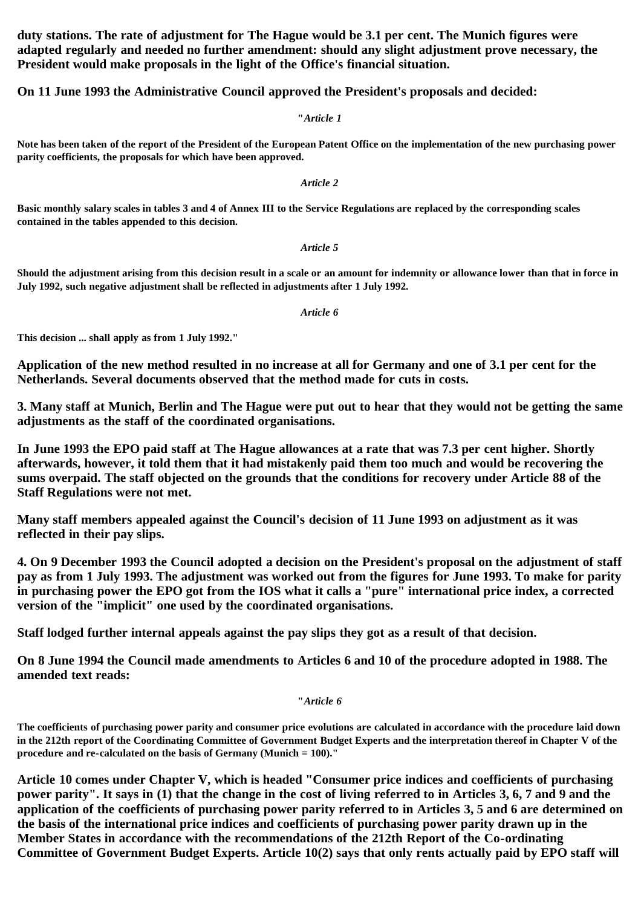**duty stations. The rate of adjustment for The Hague would be 3.1 per cent. The Munich figures were adapted regularly and needed no further amendment: should any slight adjustment prove necessary, the President would make proposals in the light of the Office's financial situation.**

**On 11 June 1993 the Administrative Council approved the President's proposals and decided:**

**"***Article 1*

**Note has been taken of the report of the President of the European Patent Office on the implementation of the new purchasing power parity coefficients, the proposals for which have been approved.**

*Article 2*

**Basic monthly salary scales in tables 3 and 4 of Annex III to the Service Regulations are replaced by the corresponding scales contained in the tables appended to this decision.**

#### *Article 5*

**Should the adjustment arising from this decision result in a scale or an amount for indemnity or allowance lower than that in force in July 1992, such negative adjustment shall be reflected in adjustments after 1 July 1992.**

*Article 6*

**This decision ... shall apply as from 1 July 1992."**

**Application of the new method resulted in no increase at all for Germany and one of 3.1 per cent for the Netherlands. Several documents observed that the method made for cuts in costs.**

**3. Many staff at Munich, Berlin and The Hague were put out to hear that they would not be getting the same adjustments as the staff of the coordinated organisations.**

**In June 1993 the EPO paid staff at The Hague allowances at a rate that was 7.3 per cent higher. Shortly afterwards, however, it told them that it had mistakenly paid them too much and would be recovering the sums overpaid. The staff objected on the grounds that the conditions for recovery under Article 88 of the Staff Regulations were not met.**

**Many staff members appealed against the Council's decision of 11 June 1993 on adjustment as it was reflected in their pay slips.**

**4. On 9 December 1993 the Council adopted a decision on the President's proposal on the adjustment of staff pay as from 1 July 1993. The adjustment was worked out from the figures for June 1993. To make for parity in purchasing power the EPO got from the IOS what it calls a "pure" international price index, a corrected version of the "implicit" one used by the coordinated organisations.**

**Staff lodged further internal appeals against the pay slips they got as a result of that decision.**

**On 8 June 1994 the Council made amendments to Articles 6 and 10 of the procedure adopted in 1988. The amended text reads:**

**"***Article 6*

**The coefficients of purchasing power parity and consumer price evolutions are calculated in accordance with the procedure laid down in the 212th report of the Coordinating Committee of Government Budget Experts and the interpretation thereof in Chapter V of the procedure and re-calculated on the basis of Germany (Munich = 100)."**

**Article 10 comes under Chapter V, which is headed "Consumer price indices and coefficients of purchasing power parity". It says in (1) that the change in the cost of living referred to in Articles 3, 6, 7 and 9 and the application of the coefficients of purchasing power parity referred to in Articles 3, 5 and 6 are determined on the basis of the international price indices and coefficients of purchasing power parity drawn up in the Member States in accordance with the recommendations of the 212th Report of the Co-ordinating Committee of Government Budget Experts. Article 10(2) says that only rents actually paid by EPO staff will**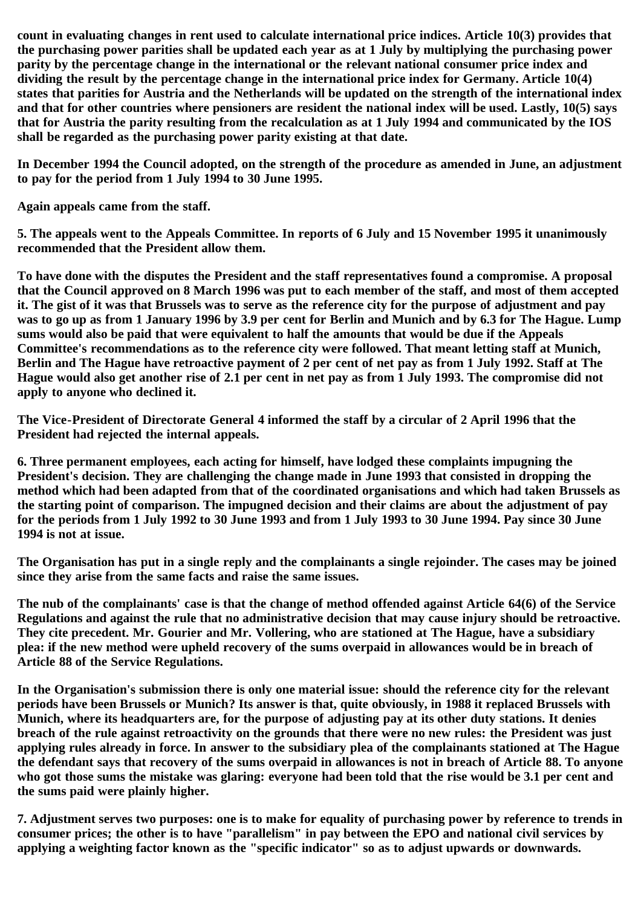**count in evaluating changes in rent used to calculate international price indices. Article 10(3) provides that the purchasing power parities shall be updated each year as at 1 July by multiplying the purchasing power parity by the percentage change in the international or the relevant national consumer price index and dividing the result by the percentage change in the international price index for Germany. Article 10(4) states that parities for Austria and the Netherlands will be updated on the strength of the international index and that for other countries where pensioners are resident the national index will be used. Lastly, 10(5) says that for Austria the parity resulting from the recalculation as at 1 July 1994 and communicated by the IOS shall be regarded as the purchasing power parity existing at that date.**

**In December 1994 the Council adopted, on the strength of the procedure as amended in June, an adjustment to pay for the period from 1 July 1994 to 30 June 1995.**

**Again appeals came from the staff.**

**5. The appeals went to the Appeals Committee. In reports of 6 July and 15 November 1995 it unanimously recommended that the President allow them.**

**To have done with the disputes the President and the staff representatives found a compromise. A proposal that the Council approved on 8 March 1996 was put to each member of the staff, and most of them accepted it. The gist of it was that Brussels was to serve as the reference city for the purpose of adjustment and pay was to go up as from 1 January 1996 by 3.9 per cent for Berlin and Munich and by 6.3 for The Hague. Lump sums would also be paid that were equivalent to half the amounts that would be due if the Appeals Committee's recommendations as to the reference city were followed. That meant letting staff at Munich, Berlin and The Hague have retroactive payment of 2 per cent of net pay as from 1 July 1992. Staff at The Hague would also get another rise of 2.1 per cent in net pay as from 1 July 1993. The compromise did not apply to anyone who declined it.**

**The Vice-President of Directorate General 4 informed the staff by a circular of 2 April 1996 that the President had rejected the internal appeals.**

**6. Three permanent employees, each acting for himself, have lodged these complaints impugning the President's decision. They are challenging the change made in June 1993 that consisted in dropping the method which had been adapted from that of the coordinated organisations and which had taken Brussels as the starting point of comparison. The impugned decision and their claims are about the adjustment of pay for the periods from 1 July 1992 to 30 June 1993 and from 1 July 1993 to 30 June 1994. Pay since 30 June 1994 is not at issue.**

**The Organisation has put in a single reply and the complainants a single rejoinder. The cases may be joined since they arise from the same facts and raise the same issues.**

**The nub of the complainants' case is that the change of method offended against Article 64(6) of the Service Regulations and against the rule that no administrative decision that may cause injury should be retroactive. They cite precedent. Mr. Gourier and Mr. Vollering, who are stationed at The Hague, have a subsidiary plea: if the new method were upheld recovery of the sums overpaid in allowances would be in breach of Article 88 of the Service Regulations.**

**In the Organisation's submission there is only one material issue: should the reference city for the relevant periods have been Brussels or Munich? Its answer is that, quite obviously, in 1988 it replaced Brussels with Munich, where its headquarters are, for the purpose of adjusting pay at its other duty stations. It denies breach of the rule against retroactivity on the grounds that there were no new rules: the President was just applying rules already in force. In answer to the subsidiary plea of the complainants stationed at The Hague the defendant says that recovery of the sums overpaid in allowances is not in breach of Article 88. To anyone who got those sums the mistake was glaring: everyone had been told that the rise would be 3.1 per cent and the sums paid were plainly higher.**

**7. Adjustment serves two purposes: one is to make for equality of purchasing power by reference to trends in consumer prices; the other is to have "parallelism" in pay between the EPO and national civil services by applying a weighting factor known as the "specific indicator" so as to adjust upwards or downwards.**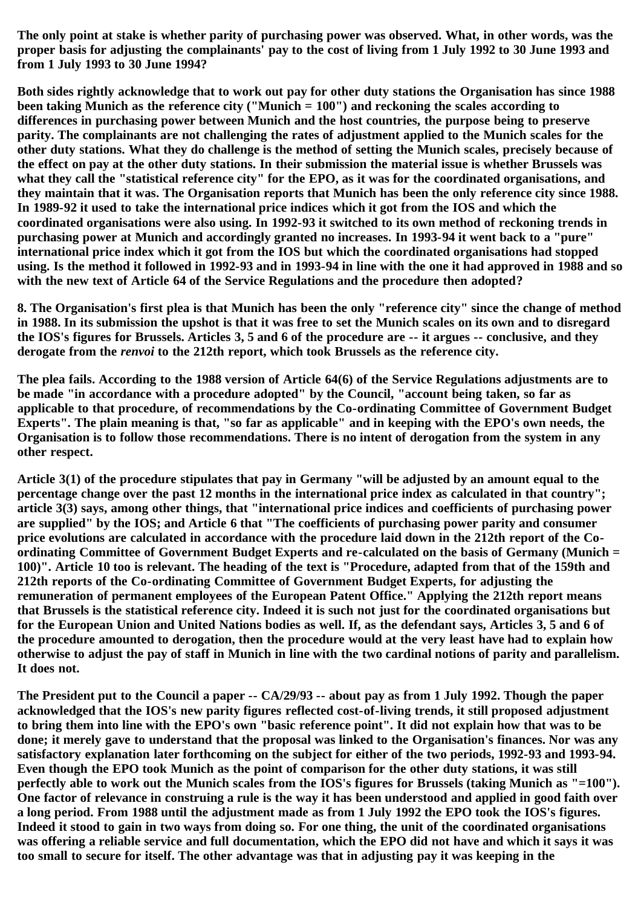**The only point at stake is whether parity of purchasing power was observed. What, in other words, was the proper basis for adjusting the complainants' pay to the cost of living from 1 July 1992 to 30 June 1993 and from 1 July 1993 to 30 June 1994?**

**Both sides rightly acknowledge that to work out pay for other duty stations the Organisation has since 1988 been taking Munich as the reference city ("Munich = 100") and reckoning the scales according to differences in purchasing power between Munich and the host countries, the purpose being to preserve parity. The complainants are not challenging the rates of adjustment applied to the Munich scales for the other duty stations. What they do challenge is the method of setting the Munich scales, precisely because of the effect on pay at the other duty stations. In their submission the material issue is whether Brussels was what they call the "statistical reference city" for the EPO, as it was for the coordinated organisations, and they maintain that it was. The Organisation reports that Munich has been the only reference city since 1988. In 1989-92 it used to take the international price indices which it got from the IOS and which the coordinated organisations were also using. In 1992-93 it switched to its own method of reckoning trends in purchasing power at Munich and accordingly granted no increases. In 1993-94 it went back to a "pure" international price index which it got from the IOS but which the coordinated organisations had stopped using. Is the method it followed in 1992-93 and in 1993-94 in line with the one it had approved in 1988 and so with the new text of Article 64 of the Service Regulations and the procedure then adopted?**

**8. The Organisation's first plea is that Munich has been the only "reference city" since the change of method in 1988. In its submission the upshot is that it was free to set the Munich scales on its own and to disregard the IOS's figures for Brussels. Articles 3, 5 and 6 of the procedure are -- it argues -- conclusive, and they derogate from the** *renvoi* **to the 212th report, which took Brussels as the reference city.**

**The plea fails. According to the 1988 version of Article 64(6) of the Service Regulations adjustments are to be made "in accordance with a procedure adopted" by the Council, "account being taken, so far as applicable to that procedure, of recommendations by the Co-ordinating Committee of Government Budget Experts". The plain meaning is that, "so far as applicable" and in keeping with the EPO's own needs, the Organisation is to follow those recommendations. There is no intent of derogation from the system in any other respect.**

**Article 3(1) of the procedure stipulates that pay in Germany "will be adjusted by an amount equal to the percentage change over the past 12 months in the international price index as calculated in that country"; article 3(3) says, among other things, that "international price indices and coefficients of purchasing power are supplied" by the IOS; and Article 6 that "The coefficients of purchasing power parity and consumer price evolutions are calculated in accordance with the procedure laid down in the 212th report of the Coordinating Committee of Government Budget Experts and re-calculated on the basis of Germany (Munich = 100)". Article 10 too is relevant. The heading of the text is "Procedure, adapted from that of the 159th and 212th reports of the Co-ordinating Committee of Government Budget Experts, for adjusting the remuneration of permanent employees of the European Patent Office." Applying the 212th report means that Brussels is the statistical reference city. Indeed it is such not just for the coordinated organisations but for the European Union and United Nations bodies as well. If, as the defendant says, Articles 3, 5 and 6 of the procedure amounted to derogation, then the procedure would at the very least have had to explain how otherwise to adjust the pay of staff in Munich in line with the two cardinal notions of parity and parallelism. It does not.**

**The President put to the Council a paper -- CA/29/93 -- about pay as from 1 July 1992. Though the paper acknowledged that the IOS's new parity figures reflected cost-of-living trends, it still proposed adjustment to bring them into line with the EPO's own "basic reference point". It did not explain how that was to be done; it merely gave to understand that the proposal was linked to the Organisation's finances. Nor was any satisfactory explanation later forthcoming on the subject for either of the two periods, 1992-93 and 1993-94. Even though the EPO took Munich as the point of comparison for the other duty stations, it was still perfectly able to work out the Munich scales from the IOS's figures for Brussels (taking Munich as "=100"). One factor of relevance in construing a rule is the way it has been understood and applied in good faith over a long period. From 1988 until the adjustment made as from 1 July 1992 the EPO took the IOS's figures. Indeed it stood to gain in two ways from doing so. For one thing, the unit of the coordinated organisations was offering a reliable service and full documentation, which the EPO did not have and which it says it was too small to secure for itself. The other advantage was that in adjusting pay it was keeping in the**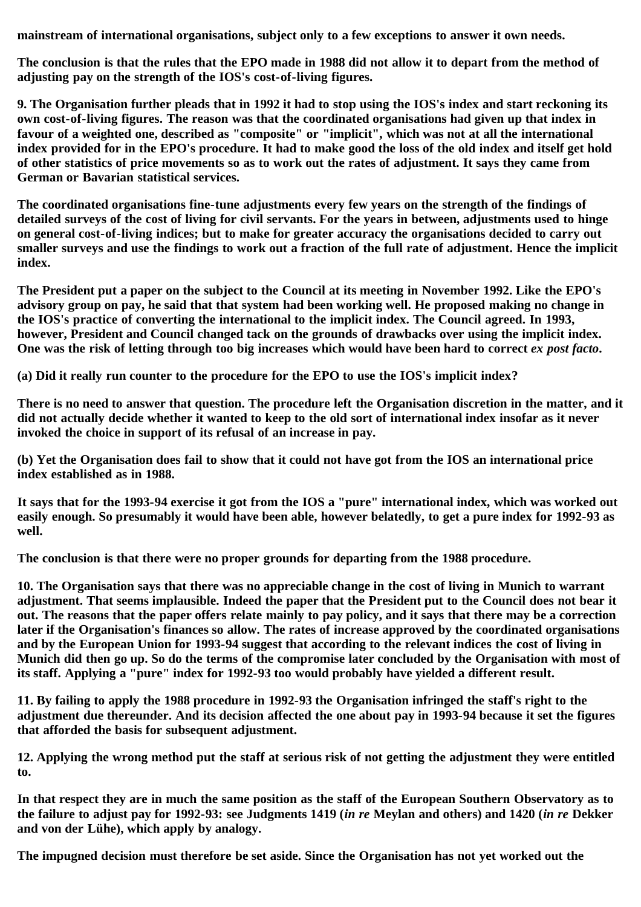**mainstream of international organisations, subject only to a few exceptions to answer it own needs.**

**The conclusion is that the rules that the EPO made in 1988 did not allow it to depart from the method of adjusting pay on the strength of the IOS's cost-of-living figures.**

**9. The Organisation further pleads that in 1992 it had to stop using the IOS's index and start reckoning its own cost-of-living figures. The reason was that the coordinated organisations had given up that index in favour of a weighted one, described as "composite" or "implicit", which was not at all the international index provided for in the EPO's procedure. It had to make good the loss of the old index and itself get hold of other statistics of price movements so as to work out the rates of adjustment. It says they came from German or Bavarian statistical services.**

**The coordinated organisations fine-tune adjustments every few years on the strength of the findings of detailed surveys of the cost of living for civil servants. For the years in between, adjustments used to hinge on general cost-of-living indices; but to make for greater accuracy the organisations decided to carry out smaller surveys and use the findings to work out a fraction of the full rate of adjustment. Hence the implicit index.**

**The President put a paper on the subject to the Council at its meeting in November 1992. Like the EPO's advisory group on pay, he said that that system had been working well. He proposed making no change in the IOS's practice of converting the international to the implicit index. The Council agreed. In 1993, however, President and Council changed tack on the grounds of drawbacks over using the implicit index.** One was the risk of letting through too big increases which would have been hard to correct *ex post facto*.

**(a) Did it really run counter to the procedure for the EPO to use the IOS's implicit index?**

**There is no need to answer that question. The procedure left the Organisation discretion in the matter, and it did not actually decide whether it wanted to keep to the old sort of international index insofar as it never invoked the choice in support of its refusal of an increase in pay.**

**(b) Yet the Organisation does fail to show that it could not have got from the IOS an international price index established as in 1988.**

**It says that for the 1993-94 exercise it got from the IOS a "pure" international index, which was worked out easily enough. So presumably it would have been able, however belatedly, to get a pure index for 1992-93 as well.**

**The conclusion is that there were no proper grounds for departing from the 1988 procedure.**

**10. The Organisation says that there was no appreciable change in the cost of living in Munich to warrant adjustment. That seems implausible. Indeed the paper that the President put to the Council does not bear it out. The reasons that the paper offers relate mainly to pay policy, and it says that there may be a correction later if the Organisation's finances so allow. The rates of increase approved by the coordinated organisations and by the European Union for 1993-94 suggest that according to the relevant indices the cost of living in Munich did then go up. So do the terms of the compromise later concluded by the Organisation with most of its staff. Applying a "pure" index for 1992-93 too would probably have yielded a different result.**

**11. By failing to apply the 1988 procedure in 1992-93 the Organisation infringed the staff's right to the adjustment due thereunder. And its decision affected the one about pay in 1993-94 because it set the figures that afforded the basis for subsequent adjustment.**

**12. Applying the wrong method put the staff at serious risk of not getting the adjustment they were entitled to.**

**In that respect they are in much the same position as the staff of the European Southern Observatory as to the failure to adjust pay for 1992-93: see Judgments 1419 (***in re* **Meylan and others) and 1420 (***in re* **Dekker and von der Lühe), which apply by analogy.**

**The impugned decision must therefore be set aside. Since the Organisation has not yet worked out the**